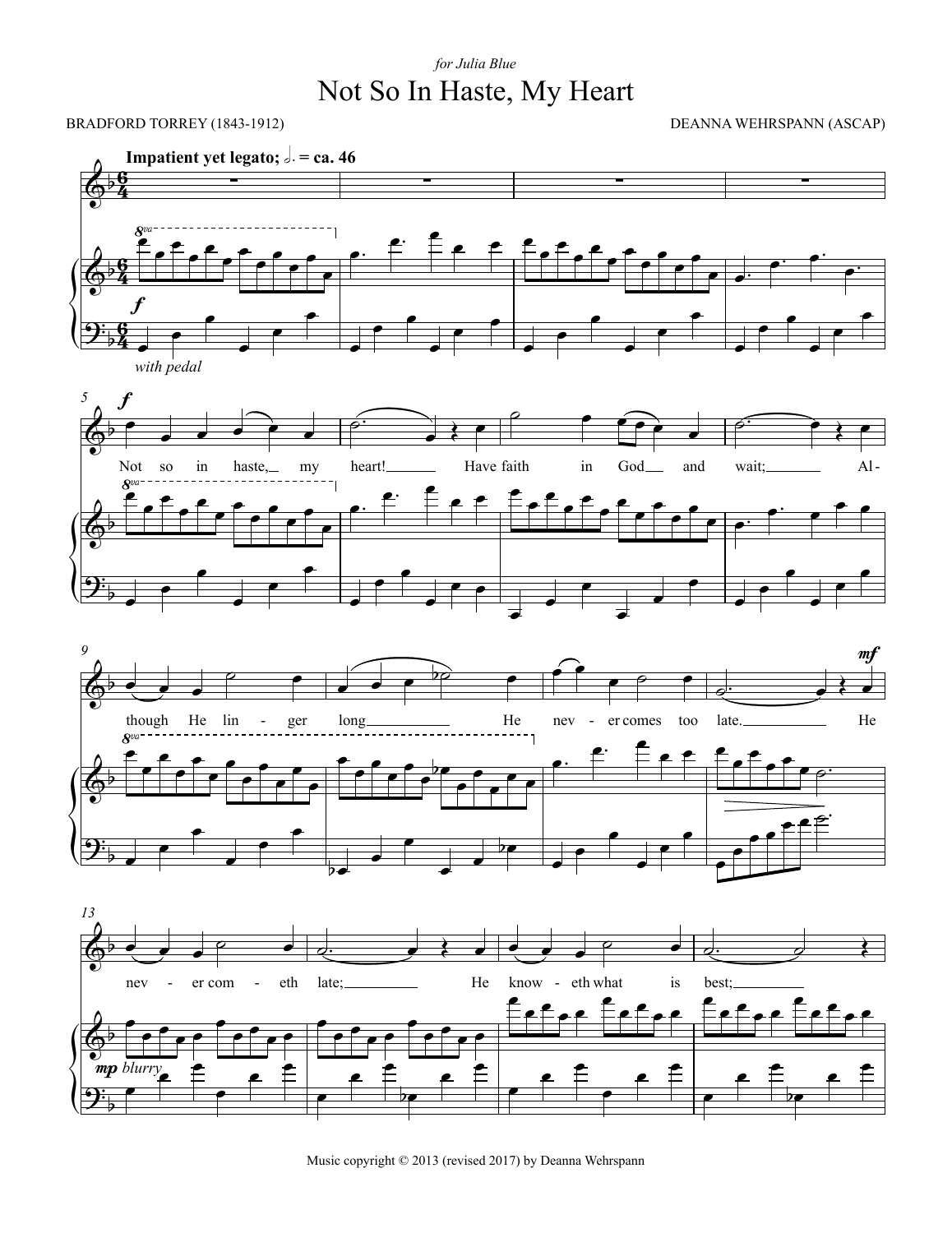## Not So In Haste, My Heart *for Julia Blue*



Music copyright © 2013 (revised 2017) by Deanna Wehrspann